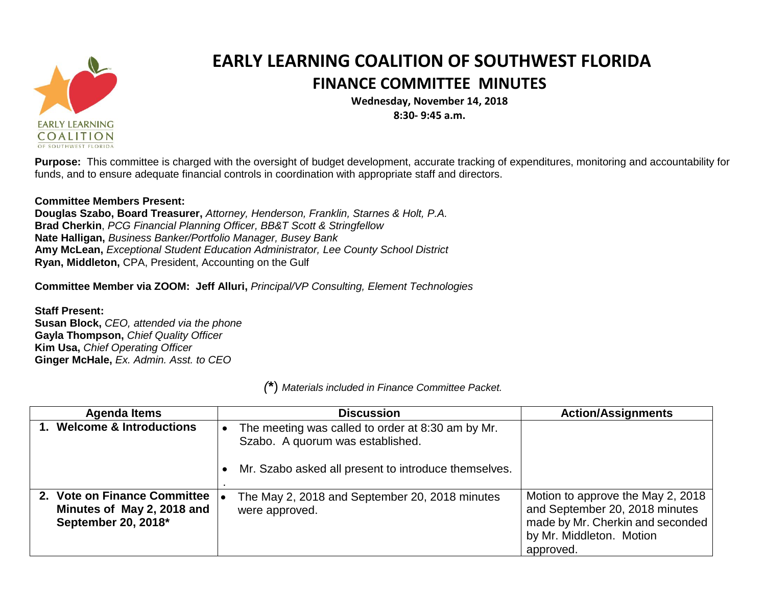

## **EARLY LEARNING COALITION OF SOUTHWEST FLORIDA FINANCE COMMITTEE MINUTES**

**Wednesday, November 14, 2018 8:30- 9:45 a.m.**

**Purpose:** This committee is charged with the oversight of budget development, accurate tracking of expenditures, monitoring and accountability for funds, and to ensure adequate financial controls in coordination with appropriate staff and directors.

## **Committee Members Present:**

**Douglas Szabo, Board Treasurer,** *Attorney, Henderson, Franklin, Starnes & Holt, P.A.* **Brad Cherkin**, *PCG Financial Planning Officer, BB&T Scott & Stringfellow* **Nate Halligan,** *Business Banker/Portfolio Manager, Busey Bank* **Amy McLean,** *Exceptional Student Education Administrator, Lee County School District* **Ryan, Middleton,** CPA, President, Accounting on the Gulf

**Committee Member via ZOOM: Jeff Alluri,** *Principal/VP Consulting, Element Technologies*

**Staff Present: Susan Block,** *CEO, attended via the phone* **Gayla Thompson,** *Chief Quality Officer* **Kim Usa,** *Chief Operating Officer* **Ginger McHale,** *Ex. Admin. Asst. to CEO*

*(***\***) *Materials included in Finance Committee Packet.*

| <b>Agenda Items</b>                                                               | <b>Discussion</b>                                                                                                                             | <b>Action/Assignments</b>                                                                                                                        |
|-----------------------------------------------------------------------------------|-----------------------------------------------------------------------------------------------------------------------------------------------|--------------------------------------------------------------------------------------------------------------------------------------------------|
| 1. Welcome & Introductions                                                        | The meeting was called to order at 8:30 am by Mr.<br>Szabo. A quorum was established.<br>Mr. Szabo asked all present to introduce themselves. |                                                                                                                                                  |
| 2. Vote on Finance Committee<br>Minutes of May 2, 2018 and<br>September 20, 2018* | The May 2, 2018 and September 20, 2018 minutes<br>were approved.                                                                              | Motion to approve the May 2, 2018<br>and September 20, 2018 minutes<br>made by Mr. Cherkin and seconded<br>by Mr. Middleton. Motion<br>approved. |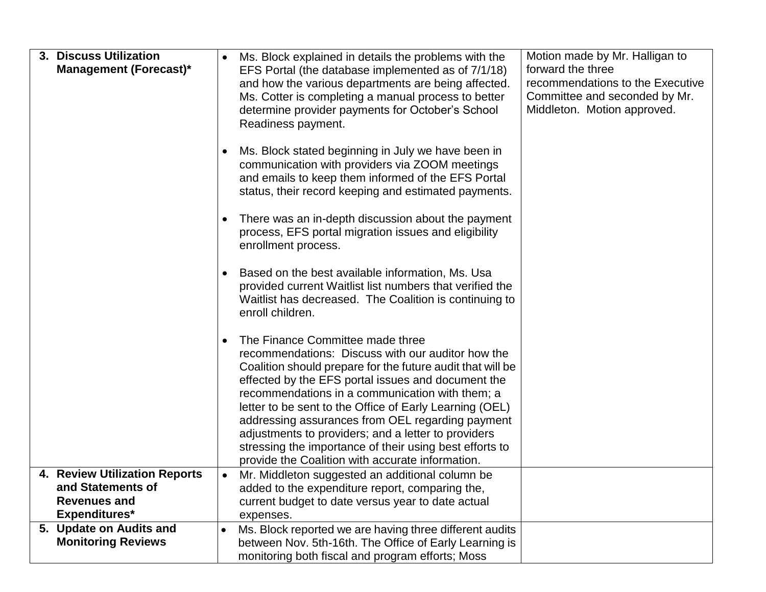|           | Ms. Block explained in details the problems with the                                                                                                                                                                                                                                                                                                                                                                                                                                                                                              | Motion made by Mr. Halligan to                                                                                                                                                                                                          |
|-----------|---------------------------------------------------------------------------------------------------------------------------------------------------------------------------------------------------------------------------------------------------------------------------------------------------------------------------------------------------------------------------------------------------------------------------------------------------------------------------------------------------------------------------------------------------|-----------------------------------------------------------------------------------------------------------------------------------------------------------------------------------------------------------------------------------------|
|           | EFS Portal (the database implemented as of 7/1/18)<br>and how the various departments are being affected.<br>Ms. Cotter is completing a manual process to better<br>determine provider payments for October's School<br>Readiness payment.                                                                                                                                                                                                                                                                                                        | forward the three<br>recommendations to the Executive<br>Committee and seconded by Mr.<br>Middleton. Motion approved.                                                                                                                   |
|           | Ms. Block stated beginning in July we have been in<br>communication with providers via ZOOM meetings<br>and emails to keep them informed of the EFS Portal<br>status, their record keeping and estimated payments.                                                                                                                                                                                                                                                                                                                                |                                                                                                                                                                                                                                         |
|           | There was an in-depth discussion about the payment<br>process, EFS portal migration issues and eligibility<br>enrollment process.                                                                                                                                                                                                                                                                                                                                                                                                                 |                                                                                                                                                                                                                                         |
|           | Based on the best available information, Ms. Usa<br>provided current Waitlist list numbers that verified the<br>Waitlist has decreased. The Coalition is continuing to<br>enroll children.                                                                                                                                                                                                                                                                                                                                                        |                                                                                                                                                                                                                                         |
|           | The Finance Committee made three<br>recommendations: Discuss with our auditor how the<br>Coalition should prepare for the future audit that will be<br>effected by the EFS portal issues and document the<br>recommendations in a communication with them; a<br>letter to be sent to the Office of Early Learning (OEL)<br>addressing assurances from OEL regarding payment<br>adjustments to providers; and a letter to providers<br>stressing the importance of their using best efforts to<br>provide the Coalition with accurate information. |                                                                                                                                                                                                                                         |
| $\bullet$ | Mr. Middleton suggested an additional column be                                                                                                                                                                                                                                                                                                                                                                                                                                                                                                   |                                                                                                                                                                                                                                         |
|           | added to the expenditure report, comparing the,                                                                                                                                                                                                                                                                                                                                                                                                                                                                                                   |                                                                                                                                                                                                                                         |
|           |                                                                                                                                                                                                                                                                                                                                                                                                                                                                                                                                                   |                                                                                                                                                                                                                                         |
|           |                                                                                                                                                                                                                                                                                                                                                                                                                                                                                                                                                   |                                                                                                                                                                                                                                         |
|           |                                                                                                                                                                                                                                                                                                                                                                                                                                                                                                                                                   |                                                                                                                                                                                                                                         |
|           |                                                                                                                                                                                                                                                                                                                                                                                                                                                                                                                                                   |                                                                                                                                                                                                                                         |
|           |                                                                                                                                                                                                                                                                                                                                                                                                                                                                                                                                                   | current budget to date versus year to date actual<br>expenses.<br>Ms. Block reported we are having three different audits<br>between Nov. 5th-16th. The Office of Early Learning is<br>monitoring both fiscal and program efforts; Moss |